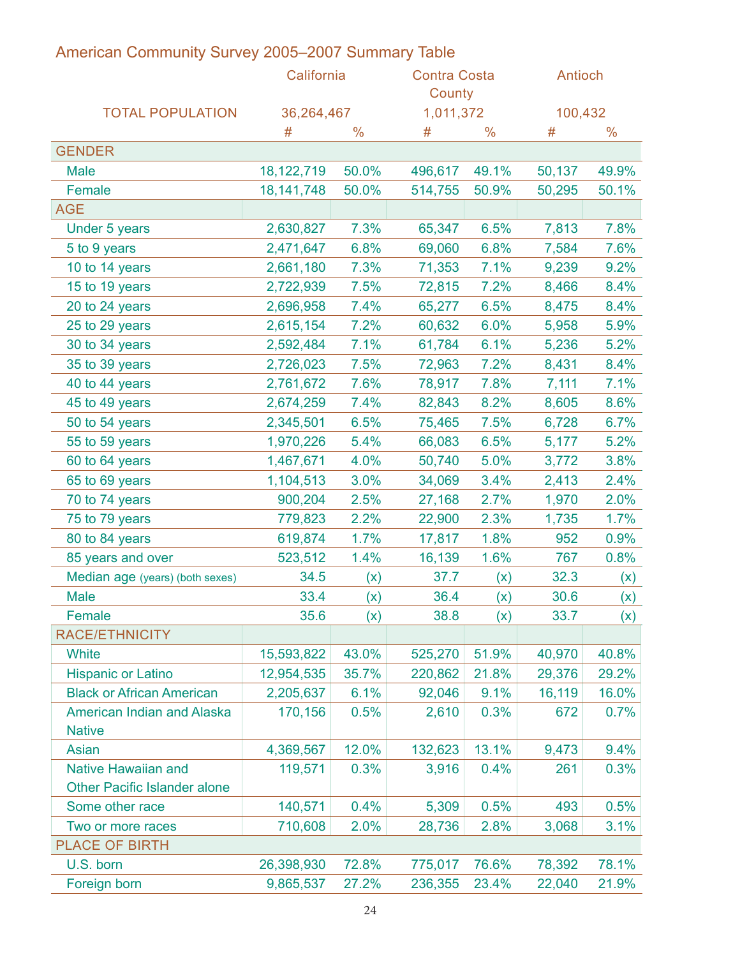|                                   | California       |       | <b>Contra Costa</b><br>County |              | Antioch      |                                 |
|-----------------------------------|------------------|-------|-------------------------------|--------------|--------------|---------------------------------|
| <b>TOTAL POPULATION</b>           | 36,264,467       |       | 1,011,372                     | $\%$         | 100,432<br># |                                 |
| <b>GENDER</b>                     |                  |       |                               |              |              |                                 |
| Male                              | 18,122,719 50.0% |       | 496,617                       | 49.1%        | 50,137       | 49.9%                           |
| Female                            | 18, 141, 748     | 50.0% | 514,755                       | 50.9%        | 50,295       | 50.1%                           |
| AGE                               |                  |       |                               |              |              |                                 |
| Under 5 years                     | 2,630,827        | 7.3%  | 65,347                        | 6.5%         | 7,813        | 7.8%                            |
| 5 to 9 years                      | 2,471,647        | 6.8%  | 69,060                        | 6.8%         | 7,584        | 7.6%                            |
| 10 to 14 years                    | 2,661,180        | 7.3%  | 71,353                        | 7.1%         | 9,239        | 9.2%                            |
| 15 to 19 years                    | 2,722,939        | 7.5%  | 72,815                        | 7.2%         | 8,466        | 8.4%                            |
| 20 to 24 years                    | 2,696,958        | 7.4%  | 65,277                        | 6.5%         | 8,475        | 8.4%                            |
| 25 to 29 years                    | 2,615,154        | 7.2%  | 60,632                        | 6.0%         | 5,958        | 5.9%                            |
| 30 to 34 years                    | 2,592,484        | 7.1%  | 61,784                        | 6.1%         | 5,236        | 5.2%                            |
| 35 to 39 years                    | 2,726,023        | 7.5%  | 72,963                        | 7.2%         | 8,431        | 8.4%                            |
| 40 to 44 years                    | 2,761,672        | 7.6%  | 78,917                        | 7.8%         | 7,111        | 7.1%                            |
| 45 to 49 years                    | 2,674,259        | 7.4%  | 82,843                        | 8.2%         | 8,605        | 8.6%                            |
| 50 to 54 years                    | 2,345,501        | 6.5%  | 75,465                        | 7.5%         | 6,728        | 6.7%                            |
| 55 to 59 years                    | 1,970,226        | 5.4%  | 66,083                        | 6.5%         | 5,177        | 5.2%                            |
| 60 to 64 years                    | 1,467,671        | 4.0%  | 50,740                        | 5.0%         | 3,772        | 3.8%                            |
| 65 to 69 years                    | 1,104,513        | 3.0%  | 34,069                        | 3.4%         | 2,413        | 2.4%                            |
| 70 to 74 years                    | 900,204          | 2.5%  | 27,168                        | 2.7%         | 1,970        | 2.0%                            |
| 75 to 79 years                    | 779,823          | 2.2%  | 22,900                        | 2.3%         | 1,735        | 1.7%                            |
| 80 to 84 years                    | 619,874          | 1.7%  | 17,817                        | 1.8%         | 952          | 0.9%                            |
| 85 years and over                 | 523,512          | 1.4%  | 16,139                        | 1.6%         | 767          | 0.8%                            |
| Median age (years) (both sexes)   | 34.5             | (x)   | 37.7                          | (x)          | 32.3         | (x)                             |
| Male                              | 33.4             | (x)   | 36.4                          | (x)          | 30.6         | (x)                             |
| Female                            | 35.6             | (x)   | 38.8                          | (x)          | 33.7         | $\overline{\phantom{a}}$<br>(x) |
| RACE/ETHNICITY                    |                  |       |                               |              |              |                                 |
| White                             | 15,593,822       | 43.0% | 525,270                       | 51.9%        | 40,970       | 40.8%                           |
| <b>Hispanic or Latino</b>         | 12,954,535 35.7% |       | 220,862 21.8%                 |              | 29,376       | 29.2%                           |
| <b>Black or African American</b>  | 2,205,637        | 6.1%  | $92,046$ 9.1%                 |              | 16,119       | 16.0%                           |
| <b>American Indian and Alaska</b> | 170,156          | 0.5%  |                               | $2,610$ 0.3% | 672          | 0.7%                            |
| <b>Native</b>                     |                  |       |                               |              |              |                                 |
| Asian                             | 4,369,567        | 12.0% | 132,623 13.1%                 |              | 9,473        | 9.4%                            |
| <b>Native Hawaiian and</b>        | 119,571          | 0.3%  |                               | $3,916$ 0.4% | 261          | 0.3%                            |
| Other Pacific Islander alone      |                  |       |                               |              |              |                                 |
| Some other race                   | 140,571          | 0.4%  | 5,309                         | 0.5%         | 493          | 0.5%                            |
| Two or more races                 | 710,608          | 2.0%  | 28,736                        | 2.8%         | 3,068        | 3.1%                            |
| PLACE OF BIRTH                    |                  |       |                               |              |              |                                 |
| U.S. born                         | 26,398,930       | 72.8% | 775,017                       | 76.6%        | 78,392       | 78.1%                           |
| Foreign born                      | 9,865,537        | 27.2% | 236,355 23.4%                 |              | 22,040       | 21.9%                           |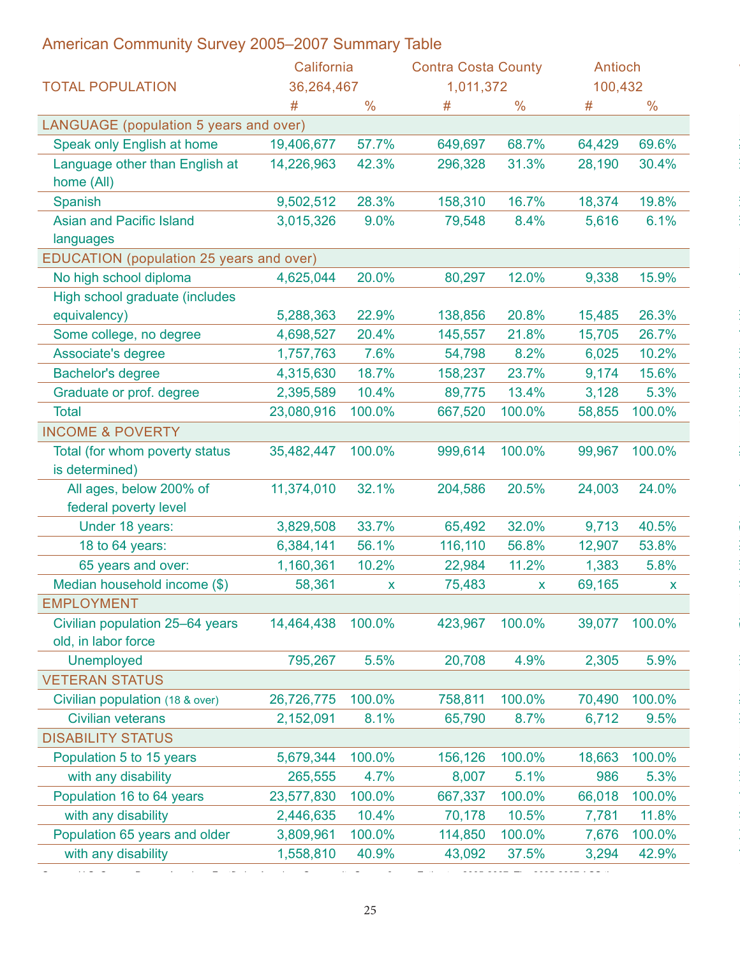| American Community Survey 2005–2007 Summary Table |                   |         |                            |       |               |               |
|---------------------------------------------------|-------------------|---------|----------------------------|-------|---------------|---------------|
|                                                   | California        |         | <b>Contra Costa County</b> |       | Antioch       |               |
| <b>TOTAL POPULATION</b>                           | 36,264,467        |         | 1,011,372                  |       | 100,432       |               |
|                                                   |                   |         | #                          |       |               |               |
| LANGUAGE (population 5 years and over)            |                   |         |                            |       |               |               |
| Speak only English at home                        | 19,406,677        | 57.7%   | 649,697                    | 68.7% | 64,429        | 69.6%         |
| Language other than English at                    | 14,226,963        | 42.3%   | 296,328                    | 31.3% | 28,190        | 30.4%         |
| home (All)                                        |                   |         |                            |       |               |               |
| Spanish                                           | 9,502,512         | 28.3%   | 158,310                    | 16.7% | 18,374        | 19.8%         |
| <b>Asian and Pacific Island</b>                   | 3,015,326         | $9.0\%$ | 79,548                     | 8.4%  | 5,616         | 6.1%          |
| languages                                         |                   |         |                            |       |               |               |
| EDUCATION (population 25 years and over)          |                   |         |                            |       |               |               |
| No high school diploma                            | 4,625,044         | 20.0%   | 80,297                     | 12.0% | 9,338         | 15.9%         |
| High school graduate (includes                    |                   |         |                            |       |               |               |
| equivalency)                                      | 5,288,363         | 22.9%   | 138,856                    | 20.8% | 15,485        | 26.3%         |
| Some college, no degree                           | 4,698,527         | 20.4%   | 145,557                    | 21.8% | 15,705        | 26.7%         |
| Associate's degree                                | 1,757,763         | 7.6%    | 54,798                     | 8.2%  | 6,025         | 10.2%         |
| <b>Bachelor's degree</b>                          | 4,315,630         | 18.7%   | 158,237                    | 23.7% | 9,174         | 15.6%         |
| Graduate or prof. degree                          | 2,395,589         | 10.4%   | 89,775                     | 13.4% | 3,128         | 5.3%          |
| Total                                             | 23,080,916 100.0% |         | 667,520 100.0%             |       | 58,855 100.0% |               |
| <b>INCOME &amp; POVERTY</b>                       |                   |         |                            |       |               |               |
| Total (for whom poverty status                    | 35,482,447 100.0% |         | 999,614 100.0%             |       | 99,967        | 100.0%        |
| is determined)                                    |                   |         |                            |       |               |               |
| All ages, below 200% of                           | 11,374,010        | 32.1%   | 204,586                    | 20.5% | 24,003        | 24.0%         |
| federal poverty level                             |                   |         |                            |       |               |               |
| Under 18 years:                                   | 3,829,508         | 33.7%   | 65,492                     | 32.0% | 9,713         | 40.5%         |
| 18 to 64 years:                                   | 6,384,141         | 56.1%   | 116,110                    | 56.8% | 12,907        | 53.8%         |
| 65 years and over:                                | 1,160,361         | 10.2%   | 22,984                     | 11.2% | 1,383         | 5.8%          |
| Median household income (\$)                      | 58,361            |         | 75,483                     |       | 69,165        |               |
| <b>EMPLOYMENT</b>                                 |                   |         |                            |       |               |               |
| Civilian population 25-64 years                   | 14,464,438 100.0% |         | 423,967 100.0%             |       | 39,077 100.0% |               |
| old, in labor force                               |                   |         |                            |       |               |               |
| Unemployed                                        | 795,267           | 5.5%    | 20,708                     | 4.9%  | 2,305         | 5.9%          |
| <b>VETERAN STATUS</b>                             |                   |         |                            |       |               |               |
| Civilian population (18 & over)                   | 26,726,775 100.0% |         | 758,811 100.0%             |       |               | 70,490 100.0% |
| <b>Civilian veterans</b>                          | 2,152,091         | 8.1%    | 65,790                     | 8.7%  | 6,712         | 9.5%          |
| <b>DISABILITY STATUS</b>                          |                   |         |                            |       |               |               |
| Population 5 to 15 years                          | 5,679,344 100.0%  |         | 156,126 100.0%             |       | 18,663        | 100.0%        |
| with any disability                               | 265,555           | 4.7%    | 8,007                      | 5.1%  | 986           | 5.3%          |
| Population 16 to 64 years                         | 23,577,830 100.0% |         | 667,337 100.0%             |       |               | 66,018 100.0% |
| with any disability                               | 2,446,635         | 10.4%   | 70,178 10.5%               |       | 7,781         | 11.8%         |
| Population 65 years and older                     | 3,809,961         | 100.0%  | 114,850 100.0%             |       | 7,676         | 100.0%        |
| with any disability                               | 1,558,810 40.9%   |         | 43,092 37.5%               |       | 3,294         | 42.9%         |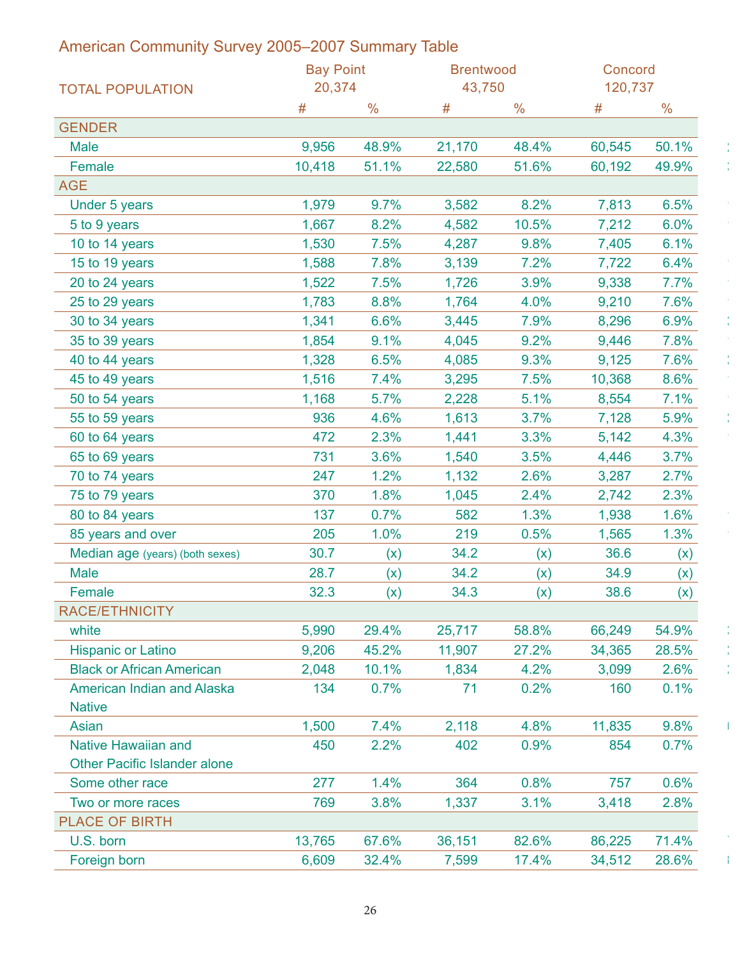| American Community Survey 2005-2007 Summary Table |                  |       |                  |               |         |               |
|---------------------------------------------------|------------------|-------|------------------|---------------|---------|---------------|
|                                                   | <b>Bay Point</b> |       | <b>Brentwood</b> |               | Concord |               |
| <b>TOTAL POPULATION</b>                           | 20,374           |       | 43,750           |               | 120,737 |               |
|                                                   | #                | $\%$  | #                | $\frac{0}{0}$ |         | $\frac{0}{0}$ |
| <b>GENDER</b>                                     |                  |       |                  |               |         |               |
| <b>Male</b>                                       | 9,956            | 48.9% | 21,170           | 48.4%         | 60,545  | 50.1%         |
| Female                                            | 10,418           | 51.1% | 22,580           | 51.6%         | 60,192  | 49.9%         |
| AGE                                               |                  |       |                  |               |         |               |
| Under 5 years                                     | 1,979            | 9.7%  | 3,582            | 8.2%          | 7,813   | 6.5%          |
| 5 to 9 years                                      | 1,667            | 8.2%  | 4,582            | 10.5%         | 7,212   | 6.0%          |
| 10 to 14 years                                    | 1,530            | 7.5%  | 4,287            | 9.8%          | 7,405   | 6.1%          |
| 15 to 19 years                                    | 1,588            | 7.8%  | 3,139            | 7.2%          | 7,722   | 6.4%          |
| 20 to 24 years                                    | 1,522            | 7.5%  | 1,726            | 3.9%          | 9,338   | 7.7%          |
| 25 to 29 years                                    | 1,783            | 8.8%  | 1,764            | 4.0%          | 9,210   | 7.6%          |
| 30 to 34 years                                    | 1,341            | 6.6%  | 3,445            | 7.9%          | 8,296   | 6.9%          |
| 35 to 39 years                                    | 1,854            | 9.1%  | 4,045            | 9.2%          | 9,446   | 7.8%          |
| 40 to 44 years                                    | 1,328            | 6.5%  | 4,085            | 9.3%          | 9,125   | 7.6%          |
| 45 to 49 years                                    | 1,516            | 7.4%  | 3,295            | 7.5%          | 10,368  | 8.6%          |
| 50 to 54 years                                    | 1,168            | 5.7%  | 2,228            | 5.1%          | 8,554   | 7.1%          |
| 55 to 59 years                                    | 936              | 4.6%  | 1,613            | 3.7%          | 7,128   | 5.9%          |
| 60 to 64 years                                    | 472              | 2.3%  | 1,441            | 3.3%          | 5,142   | 4.3%          |
| 65 to 69 years                                    | 731              | 3.6%  | 1,540            | 3.5%          | 4,446   | 3.7%          |
| 70 to 74 years                                    | 247              | 1.2%  | 1,132            | 2.6%          | 3,287   | 2.7%          |
| 75 to 79 years                                    | 370              | 1.8%  | 1,045            | 2.4%          | 2,742   | 2.3%          |
| 80 to 84 years                                    | 137              | 0.7%  | 582              | 1.3%          | 1,938   | 1.6%          |
| 85 years and over                                 | 205              | 1.0%  | 219              | 0.5%          | 1,565   | 1.3%          |
| Median age (years) (both sexes)                   | 30.7             | (x)   | 34.2             | (x)           | 36.6    | (x)           |
| Male                                              | 28.7             | (x)   | 34.2             | (x)           | 34.9    | (x)           |
| Female                                            | 32.3             | (x)   | 34.3             | (x)           | 38.6    | (x)           |
| RACE/ETHNICITY                                    |                  |       |                  |               |         |               |
| white                                             | 5,990            | 29.4% | 25,717           | 58.8%         | 66,249  | 54.9%         |
| <b>Hispanic or Latino</b>                         | 9,206            | 45.2% | 11,907           | 27.2%         | 34,365  | 28.5%         |
| <b>Black or African American</b>                  | 2,048            | 10.1% | 1,834            | 4.2%          | 3,099   | 2.6%          |
| <b>American Indian and Alaska</b>                 | 134              | 0.7%  | 71               | 0.2%          | 160     | 0.1%          |
| <b>Native</b>                                     |                  |       |                  |               |         |               |
| Asian                                             | 1,500            | 7.4%  | 2,118            | 4.8%          | 11,835  | 9.8%          |
| <b>Native Hawaiian and</b>                        | 450              | 2.2%  | 402              | 0.9%          | 854     | 0.7%          |
| <b>Other Pacific Islander alone</b>               |                  |       |                  |               |         |               |
| Some other race                                   | 277              | 1.4%  | 364              | 0.8%          | 757     | 0.6%          |
| Two or more races                                 | 769              | 3.8%  | 1,337            | 3.1%          | 3,418   | 2.8%          |
| PLACE OF BIRTH                                    |                  |       |                  |               |         |               |
| U.S. born                                         | 13,765           | 67.6% | 36,151           | 82.6%         | 86,225  | 71.4%         |
| Foreign born                                      | 6,609            | 32.4% | 7,599            | 17.4%         | 34,512  | 28.6%         |
|                                                   |                  |       |                  |               |         |               |

### 26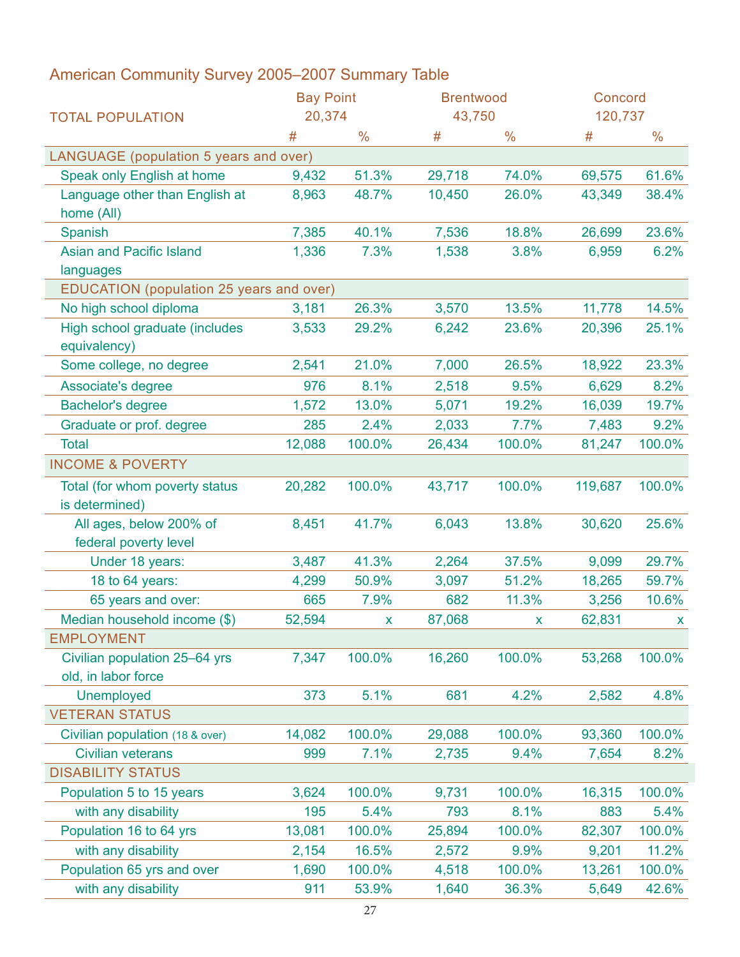|                                              | <b>Bay Point</b> |               | <b>Brentwood</b> |               | Concord |        |
|----------------------------------------------|------------------|---------------|------------------|---------------|---------|--------|
| <b>TOTAL POPULATION</b>                      | 20,374           |               | 43,750           |               | 120,737 |        |
|                                              |                  | $\frac{0}{0}$ | 丑                | $\frac{0}{0}$ |         |        |
| LANGUAGE (population 5 years and over)       |                  |               |                  |               |         |        |
| Speak only English at home                   | 9,432            | 51.3%         | 29,718           | 74.0%         | 69,575  | 61.6%  |
| Language other than English at<br>home (All) | 8,963            | 48.7%         | 10,450           | 26.0%         | 43,349  | 38.4%  |
| Spanish                                      | 7,385            | 40.1%         | 7,536            | 18.8%         | 26,699  | 23.6%  |
| <b>Asian and Pacific Island</b>              | 1,336            | 7.3%          | 1,538            | 3.8%          | 6,959   | 6.2%   |
| languages                                    |                  |               |                  |               |         |        |
| EDUCATION (population 25 years and over)     |                  |               |                  |               |         |        |
| No high school diploma                       | 3,181            | 26.3%         | 3,570            | 13.5%         | 11,778  | 14.5%  |
| High school graduate (includes               | 3,533            | 29.2%         | 6,242            | 23.6%         | 20,396  | 25.1%  |
| equivalency)                                 |                  |               |                  |               |         |        |
| Some college, no degree                      | 2,541            | 21.0%         | 7,000            | 26.5%         | 18,922  | 23.3%  |
| Associate's degree                           | 976              | 8.1%          | 2,518            | 9.5%          | 6,629   | 8.2%   |
| <b>Bachelor's degree</b>                     | 1,572            | 13.0%         | 5,071            | 19.2%         | 16,039  | 19.7%  |
| Graduate or prof. degree                     | 285              | 2.4%          | 2,033            | 7.7%          | 7,483   | 9.2%   |
| <b>Total</b>                                 | 12,088           | 100.0%        | 26,434           | 100.0%        | 81,247  | 100.0% |
| <b>INCOME &amp; POVERTY</b>                  |                  |               |                  |               |         |        |
| Total (for whom poverty status               | 20,282           | 100.0%        | 43,717           | 100.0%        | 119,687 | 100.0% |
| is determined)                               |                  |               |                  |               |         |        |
| All ages, below 200% of                      | 8,451            | 41.7%         | 6,043            | 13.8%         | 30,620  | 25.6%  |
| federal poverty level                        |                  |               |                  |               |         |        |
| Under 18 years:                              | 3,487            | 41.3%         | 2,264            | 37.5%         | 9,099   | 29.7%  |
| 18 to 64 years:                              | 4,299            | 50.9%         | 3,097            | 51.2%         | 18,265  | 59.7%  |
| 65 years and over:                           | 665              | 7.9%          | 682              | 11.3%         | 3,256   | 10.6%  |
| Median household income (\$)                 | 52,594           |               | 87,068           |               | 62,831  |        |
| <b>EMPLOYMENT</b>                            |                  |               |                  |               |         |        |
| Civilian population 25-64 yrs                | 7,347            | 100.0%        | 16,260           | 100.0%        | 53,268  | 100.0% |
| old, in labor force                          |                  |               |                  |               |         |        |
| <b>Unemployed</b>                            | 373              | 5.1%          | 681              | 4.2%          | 2,582   | 4.8%   |
| <b>VETERAN STATUS</b>                        |                  |               |                  |               |         |        |
| Civilian population (18 & over)              | 14,082           | 100.0%        | 29,088           | 100.0%        | 93,360  | 100.0% |
| <b>Civilian veterans</b>                     | 999              | 7.1%          | 2,735            | 9.4%          | 7,654   | 8.2%   |
| <b>DISABILITY STATUS</b>                     |                  |               |                  |               |         |        |
| Population 5 to 15 years                     | 3,624            | 100.0%        | 9,731            | 100.0%        | 16,315  | 100.0% |
| with any disability                          | 195              | 5.4%          | 793              | 8.1%          | 883     | 5.4%   |
| Population 16 to 64 yrs                      | 13,081           | 100.0%        | 25,894           | 100.0%        | 82,307  | 100.0% |
| with any disability                          | 2,154            | 16.5%         | 2,572            | 9.9%          | 9,201   | 11.2%  |
| Population 65 yrs and over                   | 1,690            | 100.0%        | 4,518            | 100.0%        | 13,261  | 100.0% |
| with any disability                          | 911              | 53.9%         | 1,640            | 36.3%         | 5,649   | 42.6%  |
|                                              |                  |               |                  |               |         |        |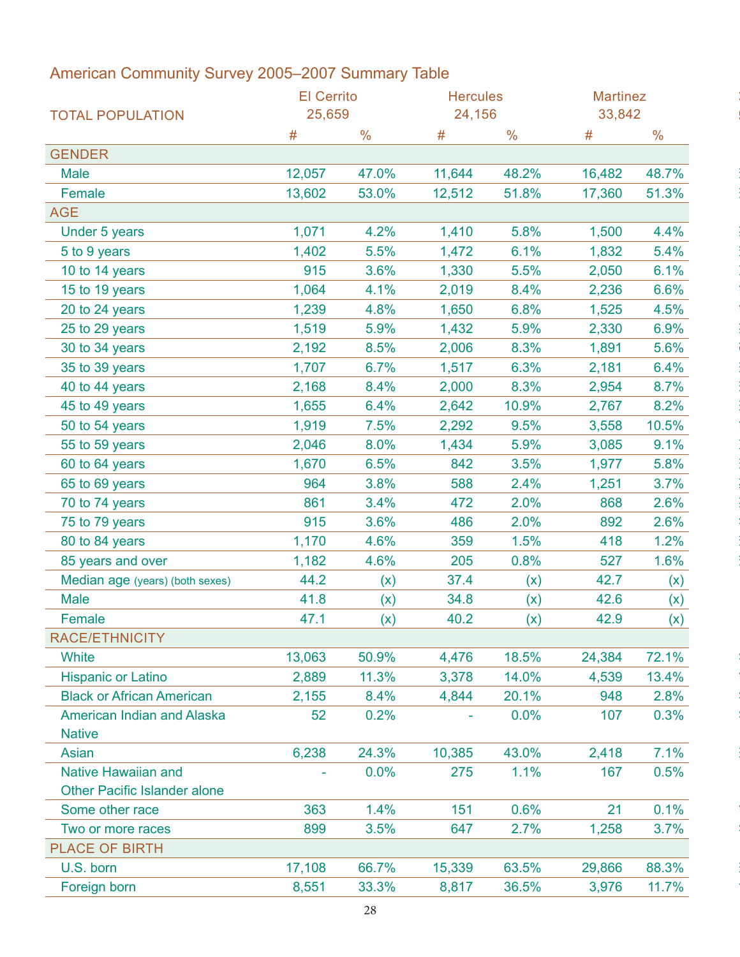|                                     | <b>El Cerrito</b> |               | <b>Hercules</b> |               | <b>Martinez</b> |            |
|-------------------------------------|-------------------|---------------|-----------------|---------------|-----------------|------------|
| <b>TOTAL POPULATION</b>             | 25,659            |               | 24,156          |               | 33,842          |            |
|                                     | #                 | $\frac{0}{0}$ | #               | $\frac{0}{0}$ | #               | $\%$       |
| <b>GENDER</b>                       |                   |               |                 |               |                 |            |
| Male                                | 12,057            | 47.0%         | 11,644          | 48.2%         | 16,482          | 48.7%      |
| Female                              | 13,602            | 53.0%         | 12,512          | 51.8%         | 17,360          | 51.3%      |
| <b>AGE</b>                          |                   |               |                 |               |                 |            |
| Under 5 years                       | 1,071             | 4.2%          | 1,410           | 5.8%          | 1,500           | 4.4%       |
| 5 to 9 years                        | 1,402             | 5.5%          | 1,472           | 6.1%          | 1,832           | 5.4%       |
| 10 to 14 years                      | 915               | 3.6%          | 1,330           | 5.5%          | 2,050           | 6.1%       |
| 15 to 19 years                      | 1,064             | 4.1%          | 2,019           | 8.4%          | 2,236           | 6.6%       |
| 20 to 24 years                      | 1,239             | 4.8%          | 1,650           | 6.8%          | 1,525           | 4.5%       |
| 25 to 29 years                      | 1,519             | 5.9%          | 1,432           | 5.9%          | 2,330           | 6.9%       |
| 30 to 34 years                      | 2,192             | 8.5%          | 2,006           | 8.3%          | 1,891           | 5.6%       |
| 35 to 39 years                      | 1,707             | 6.7%          | 1,517           | 6.3%          | 2,181           | 6.4%       |
| 40 to 44 years                      | 2,168             | 8.4%          | 2,000           | 8.3%          | 2,954           | 8.7%       |
| 45 to 49 years                      | 1,655             | 6.4%          | 2,642           | 10.9%         | 2,767           | 8.2%       |
| 50 to 54 years                      | 1,919             | 7.5%          | 2,292           | 9.5%          | 3,558           | 10.5%      |
| 55 to 59 years                      | 2,046             | 8.0%          | 1,434           | 5.9%          | 3,085           | 9.1%       |
| 60 to 64 years                      | 1,670             | 6.5%          | 842             | 3.5%          | 1,977           | 5.8%       |
| 65 to 69 years                      | 964               | 3.8%          | 588             | 2.4%          | 1,251           | 3.7%       |
| 70 to 74 years                      | 861               | 3.4%          | 472             | 2.0%          | 868             | 2.6%       |
| 75 to 79 years                      | 915               | 3.6%          | 486             | 2.0%          | 892             | 2.6%       |
| 80 to 84 years                      | 1,170             | 4.6%          | 359             | 1.5%          | 418             | 1.2%       |
| 85 years and over                   | 1,182             | 4.6%          | 205             | 0.8%          | 527             | 1.6%       |
| Median age (years) (both sexes)     | 44.2              | (x)           | 37.4            | (x)           | 42.7            | (x)        |
| Male                                | 41.8              | (x)           | 34.8            | (x)           | 42.6            |            |
| Female                              | 47.1              | (x)           | 40.2            | (x)           | 42.9            | (x)<br>(x) |
| <b>RACE/ETHNICITY</b>               |                   |               |                 |               |                 |            |
| White                               | 13,063            | 50.9%         | 4,476           | 18.5%         | 24,384          | 72.1%      |
| <b>Hispanic or Latino</b>           | 2,889             | 11.3%         | 3,378           | 14.0%         | 4,539           | 13.4%      |
|                                     |                   |               |                 |               |                 |            |
| <b>Black or African American</b>    | 2,155             | 8.4%          | 4,844           | 20.1%         | 948             | 2.8%       |
| American Indian and Alaska          | 52                | 0.2%          | $\sim$          | $0.0\%$       | 107             | 0.3%       |
| <b>Native</b>                       |                   |               |                 |               |                 |            |
| Asian                               | 6,238             | 24.3%         | 10,385          | 43.0%         | 2,418           | 7.1%       |
| <b>Native Hawaiian and</b>          | $\sim$            | 0.0%          | 275             | 1.1%          | 167             | 0.5%       |
| <b>Other Pacific Islander alone</b> |                   |               |                 |               |                 |            |
| Some other race                     | 363               | 1.4%          | 151             | 0.6%          | 21              | 0.1%       |
| Two or more races                   | 899               | 3.5%          | 647             | 2.7%          | 1,258           | 3.7%       |
| <b>PLACE OF BIRTH</b>               |                   |               |                 |               |                 |            |
| U.S. born                           | 17,108            | 66.7%         | 15,339          | 63.5%         | 29,866          | 88.3%      |
| Foreign born                        | 8,551             | 33.3%         | 8,817           | 36.5%         | 3,976           | 11.7%      |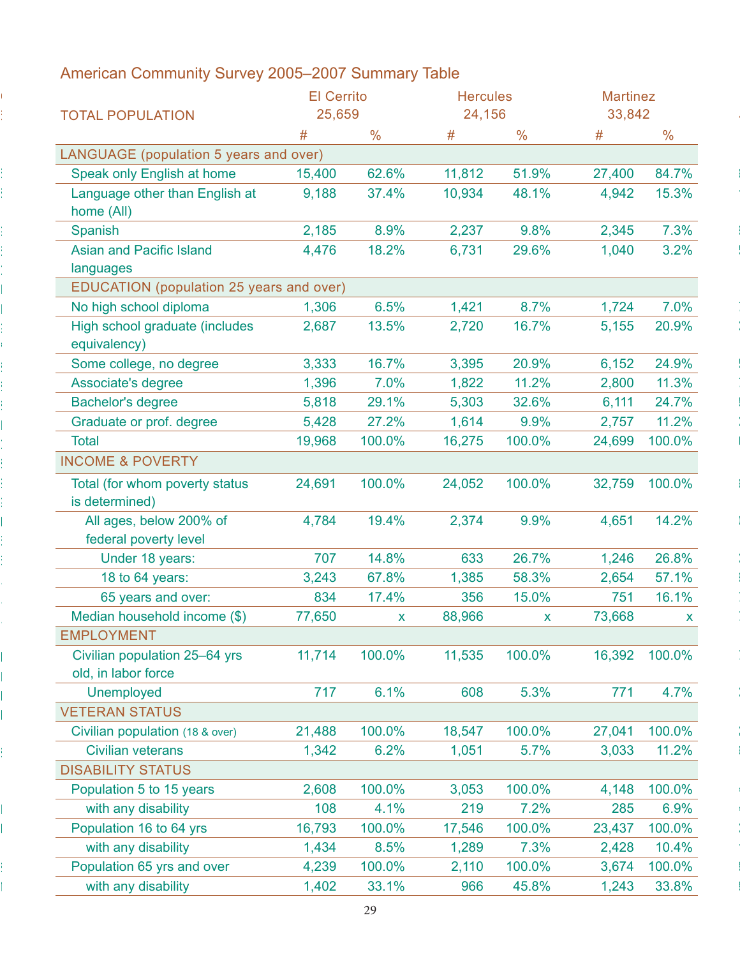|                                              | <b>El Cerrito</b> |               | <b>Hercules</b> |               | <b>Martinez</b> |               |
|----------------------------------------------|-------------------|---------------|-----------------|---------------|-----------------|---------------|
| <b>TOTAL POPULATION</b>                      | 25,659            |               | 24,156          |               | 33,842          |               |
|                                              |                   | $\frac{0}{0}$ |                 | $\frac{1}{2}$ |                 | $\frac{0}{0}$ |
| LANGUAGE (population 5 years and over)       |                   |               |                 |               |                 |               |
| Speak only English at home                   | 15,400            | 62.6%         | 11,812          | 51.9%         | 27,400          | 84.7%         |
| Language other than English at<br>home (All) | 9,188             | 37.4%         | 10,934          | 48.1%         | 4,942           | 15.3%         |
| Spanish                                      | 2,185             | 8.9%          | 2,237           | 9.8%          | 2,345           | 7.3%          |
| <b>Asian and Pacific Island</b>              | 4,476             | 18.2%         | 6,731           | 29.6%         | 1,040           | 3.2%          |
| languages                                    |                   |               |                 |               |                 |               |
| EDUCATION (population 25 years and over)     |                   |               |                 |               |                 |               |
| No high school diploma                       | 1,306             | 6.5%          | 1,421           | 8.7%          | 1,724           | 7.0%          |
| High school graduate (includes               | 2,687             | 13.5%         | 2,720           | 16.7%         | 5,155           | 20.9%         |
| equivalency)                                 |                   |               |                 |               |                 |               |
| Some college, no degree                      | 3,333             | 16.7%         | 3,395           | 20.9%         | 6,152           | 24.9%         |
| Associate's degree                           | 1,396             | 7.0%          | 1,822           | 11.2%         | 2,800           | 11.3%         |
| <b>Bachelor's degree</b>                     | 5,818             | 29.1%         | 5,303           | 32.6%         | 6,111           | 24.7%         |
|                                              |                   | 27.2%         | 1,614           | 9.9%          | 2,757           | 11.2%         |
| Graduate or prof. degree                     | 5,428             |               |                 |               |                 |               |
| Total<br><b>INCOME &amp; POVERTY</b>         | 19,968            | 100.0%        | 16,275          | 100.0%        | 24,699          | 100.0%        |
| Total (for whom poverty status               | 24,691            | 100.0%        | 24,052          | 100.0%        |                 | 32,759 100.0% |
| is determined)                               |                   |               |                 |               |                 |               |
| All ages, below 200% of                      | 4,784             | 19.4%         | 2,374           | 9.9%          | 4,651           | 14.2%         |
| federal poverty level                        |                   |               |                 |               |                 |               |
| Under 18 years:                              | 707               | 14.8%         | 633             | 26.7%         | 1,246           | 26.8%         |
| 18 to 64 years:                              | 3,243             | 67.8%         | 1,385           | 58.3%         | 2,654           | 57.1%         |
|                                              |                   |               |                 |               |                 |               |
| 65 years and over:                           | 834               | 17.4%         | 356             | 15.0%         | 751             | 16.1%         |
| Median household income (\$)                 | 77,650            |               | 88,966          |               | 73,668          |               |
| <b>EMPLOYMENT</b>                            |                   |               |                 |               |                 |               |
| Civilian population 25-64 yrs                | 11,714            | 100.0%        | 11,535          | 100.0%        |                 | 16,392 100.0% |
| old, in labor force                          |                   |               |                 |               |                 |               |
| Unemployed                                   | 717               | 6.1%          | 608             | 5.3%          | 771             | 4.7%          |
| <b>VETERAN STATUS</b>                        |                   |               |                 |               |                 |               |
| Civilian population (18 & over)              | 21,488            | 100.0%        | 18,547          | 100.0%        |                 | 27,041 100.0% |
| <b>Civilian veterans</b>                     | 1,342             | 6.2%          | 1,051           | 5.7%          |                 | 3,033 11.2%   |
| <b>DISABILITY STATUS</b>                     |                   |               |                 |               |                 |               |
| Population 5 to 15 years                     | 2,608             | 100.0%        | 3,053           | 100.0%        |                 | 4,148 100.0%  |
| with any disability                          | 108               | 4.1%          | 219             | 7.2%          | 285             | 6.9%          |
| Population 16 to 64 yrs                      | 16,793            | 100.0%        | 17,546          | 100.0%        |                 | 23,437 100.0% |
| with any disability                          | 1,434             | 8.5%          | 1,289           | 7.3%          |                 | 2,428 10.4%   |
| Population 65 yrs and over                   | 4,239             | 100.0%        | 2,110           | 100.0%        |                 | 3,674 100.0%  |
|                                              | 1,402             | 33.1%         | 966             | 45.8%         |                 | 1,243 33.8%   |
| with any disability                          |                   |               |                 |               |                 |               |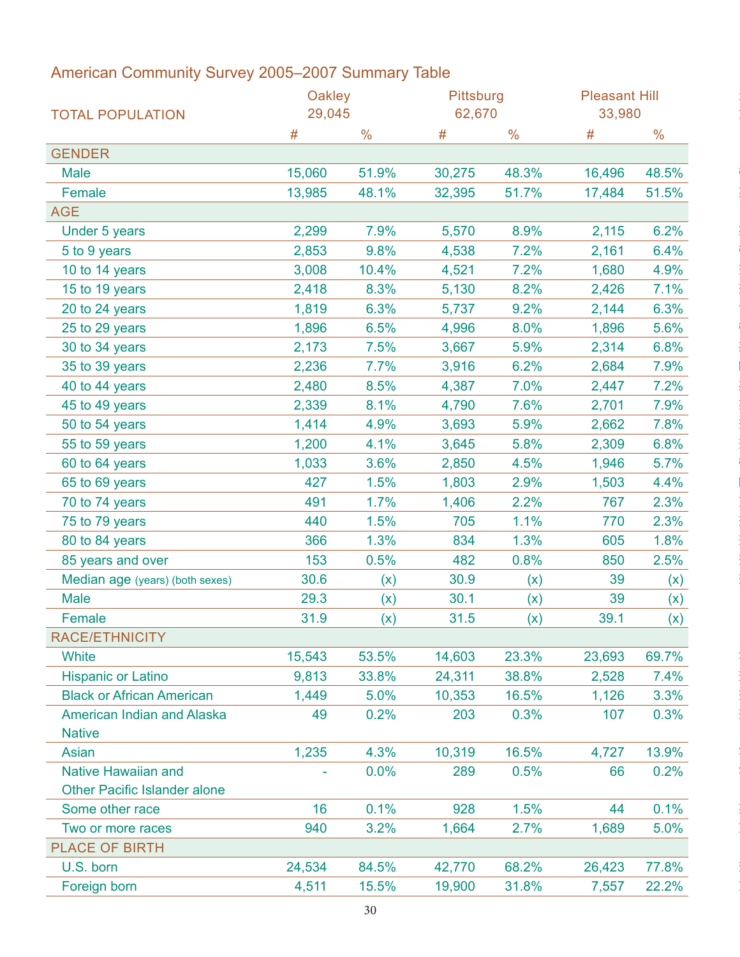|                                             | Oakley |               | Pittsburg |               | <b>Pleasant Hill</b> |       |  |
|---------------------------------------------|--------|---------------|-----------|---------------|----------------------|-------|--|
| <b>TOTAL POPULATION</b>                     | 29,045 |               | 62,670    |               | 33,980               |       |  |
|                                             | #      | $\frac{0}{0}$ | #         | $\frac{0}{0}$ | #                    | $\%$  |  |
| <b>GENDER</b>                               |        |               |           |               |                      |       |  |
| <b>Male</b>                                 | 15,060 | 51.9%         | 30,275    | 48.3%         | 16,496               | 48.5% |  |
| Female                                      | 13,985 | 48.1%         | 32,395    | 51.7%         | 17,484               | 51.5% |  |
| <b>AGE</b>                                  |        |               |           |               |                      |       |  |
| Under 5 years                               | 2,299  | 7.9%          | 5,570     | 8.9%          | 2,115                | 6.2%  |  |
| 5 to 9 years                                | 2,853  | 9.8%          | 4,538     | 7.2%          | 2,161                | 6.4%  |  |
| 10 to 14 years                              | 3,008  | 10.4%         | 4,521     | 7.2%          | 1,680                | 4.9%  |  |
| 15 to 19 years                              | 2,418  | 8.3%          | 5,130     | 8.2%          | 2,426                | 7.1%  |  |
| 20 to 24 years                              | 1,819  | 6.3%          | 5,737     | 9.2%          | 2,144                | 6.3%  |  |
| 25 to 29 years                              | 1,896  | 6.5%          | 4,996     | 8.0%          | 1,896                | 5.6%  |  |
| 30 to 34 years                              | 2,173  | 7.5%          | 3,667     | 5.9%          | 2,314                | 6.8%  |  |
| 35 to 39 years                              | 2,236  | 7.7%          | 3,916     | 6.2%          | 2,684                | 7.9%  |  |
| 40 to 44 years                              | 2,480  | 8.5%          | 4,387     | 7.0%          | 2,447                | 7.2%  |  |
| 45 to 49 years                              | 2,339  | 8.1%          | 4,790     | 7.6%          | 2,701                | 7.9%  |  |
| 50 to 54 years                              | 1,414  | 4.9%          | 3,693     | 5.9%          | 2,662                | 7.8%  |  |
| 55 to 59 years                              | 1,200  | 4.1%          | 3,645     | 5.8%          | 2,309                | 6.8%  |  |
| 60 to 64 years                              | 1,033  | 3.6%          | 2,850     | 4.5%          | 1,946                | 5.7%  |  |
| 65 to 69 years                              | 427    | 1.5%          | 1,803     | 2.9%          | 1,503                | 4.4%  |  |
| 70 to 74 years                              | 491    | 1.7%          | 1,406     | 2.2%          | 767                  | 2.3%  |  |
| 75 to 79 years                              | 440    | 1.5%          | 705       | 1.1%          | 770                  | 2.3%  |  |
| 80 to 84 years                              | 366    | 1.3%          | 834       | 1.3%          | 605                  | 1.8%  |  |
| 85 years and over                           | 153    | 0.5%          | 482       | 0.8%          | 850                  | 2.5%  |  |
| Median age (years) (both sexes)             | 30.6   | (x)           | 30.9      | (x)           | 39                   |       |  |
| Male                                        | 29.3   |               | 30.1      |               | 39                   | (x)   |  |
|                                             |        | (x)           |           | (x)           |                      | (x)   |  |
| Female<br>RACE/ETHNICITY                    | 31.9   | (x)           | 31.5      | (x)           | 39.1                 | (x)   |  |
|                                             |        |               |           |               |                      |       |  |
| <b>White</b>                                | 15,543 | 53.5%         | 14,603    | 23.3%         | 23,693               | 69.7% |  |
| <b>Hispanic or Latino</b>                   | 9,813  | 33.8%         | 24,311    | 38.8%         | 2,528                | 7.4%  |  |
| <b>Black or African American</b>            | 1,449  | 5.0%          | 10,353    | 16.5%         | 1,126                | 3.3%  |  |
| American Indian and Alaska<br><b>Native</b> | 49     | 0.2%          | 203       | 0.3%          | 107                  | 0.3%  |  |
| Asian                                       | 1,235  | 4.3%          | 10,319    | 16.5%         | 4,727                | 13.9% |  |
| <b>Native Hawaiian and</b>                  | ÷      | 0.0%          | 289       | 0.5%          | 66                   | 0.2%  |  |
| <b>Other Pacific Islander alone</b>         |        |               |           |               |                      |       |  |
| Some other race                             | 16     | 0.1%          | 928       | 1.5%          | 44                   | 0.1%  |  |
| Two or more races                           | 940    | 3.2%          | 1,664     | 2.7%          | 1,689                | 5.0%  |  |
| <b>PLACE OF BIRTH</b>                       |        |               |           |               |                      |       |  |
| U.S. born                                   | 24,534 | 84.5%         | 42,770    | 68.2%         | 26,423               | 77.8% |  |
| Foreign born                                | 4,511  | 15.5%         | 19,900    | 31.8%         | 7,557                | 22.2% |  |
|                                             |        |               |           |               |                      |       |  |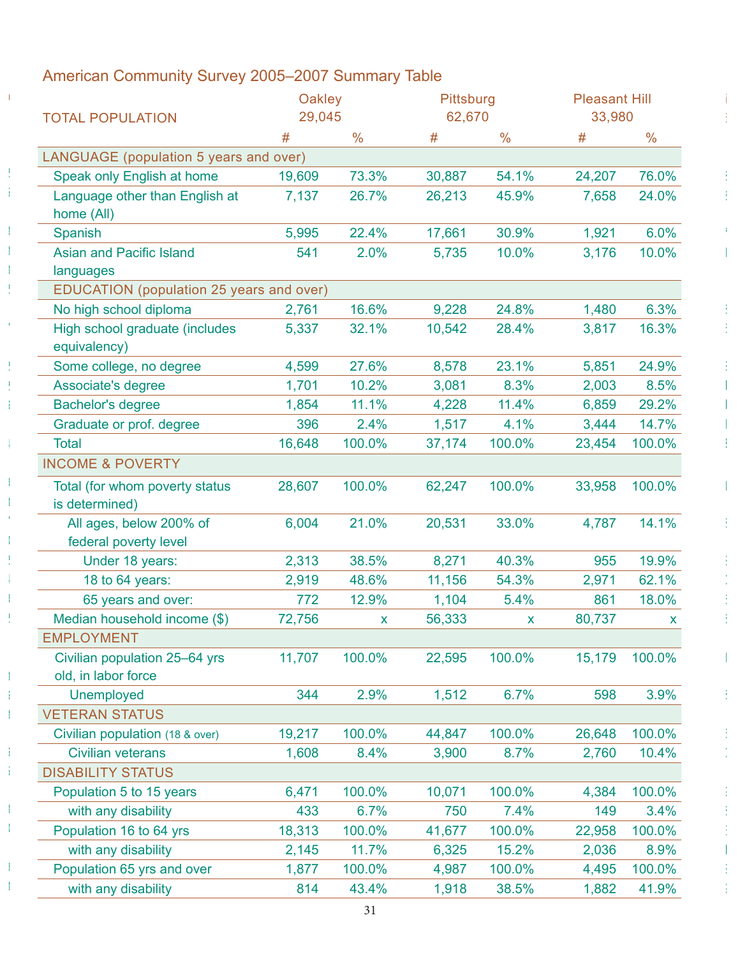|                                                  | Oakley |               | Pittsburg |               | <b>Pleasant Hill</b> |        |
|--------------------------------------------------|--------|---------------|-----------|---------------|----------------------|--------|
| <b>TOTAL POPULATION</b>                          | 29,045 |               | 62,670    |               | 33,980               |        |
|                                                  |        | $\frac{0}{0}$ |           | $\frac{0}{0}$ | $\pmb{\pm}$          | $\%$   |
| LANGUAGE (population 5 years and over)           |        |               |           |               |                      |        |
| Speak only English at home                       | 19,609 | 73.3%         | 30,887    | 54.1%         | 24,207               | 76.0%  |
| Language other than English at<br>home (All)     | 7,137  | 26.7%         | 26,213    | 45.9%         | 7,658                | 24.0%  |
| Spanish                                          | 5,995  | 22.4%         | 17,661    | 30.9%         | 1,921                | 6.0%   |
| <b>Asian and Pacific Island</b>                  | 541    | 2.0%          | 5,735     | 10.0%         | 3,176                | 10.0%  |
| languages                                        |        |               |           |               |                      |        |
| EDUCATION (population 25 years and over)         |        |               |           |               |                      |        |
| No high school diploma                           | 2,761  | 16.6%         | 9,228     | 24.8%         | 1,480                | 6.3%   |
| High school graduate (includes<br>equivalency)   | 5,337  | 32.1%         | 10,542    | 28.4%         | 3,817                | 16.3%  |
| Some college, no degree                          | 4,599  | 27.6%         | 8,578     | 23.1%         | 5,851                | 24.9%  |
| Associate's degree                               | 1,701  | 10.2%         | 3,081     | 8.3%          | 2,003                | 8.5%   |
| <b>Bachelor's degree</b>                         | 1,854  | 11.1%         | 4,228     | 11.4%         | 6,859                | 29.2%  |
| Graduate or prof. degree                         | 396    | 2.4%          | 1,517     | 4.1%          | 3,444                | 14.7%  |
| Total                                            | 16,648 | 100.0%        | 37,174    | 100.0%        | 23,454               | 100.0% |
| <b>INCOME &amp; POVERTY</b>                      |        |               |           |               |                      |        |
| Total (for whom poverty status<br>is determined) | 28,607 | 100.0%        | 62,247    | 100.0%        | 33,958               | 100.0% |
| All ages, below 200% of                          | 6,004  | 21.0%         | 20,531    | 33.0%         | 4,787                | 14.1%  |
| federal poverty level                            |        |               |           |               |                      |        |
| Under 18 years:                                  | 2,313  | 38.5%         | 8,271     | 40.3%         | 955                  | 19.9%  |
| 18 to 64 years:                                  | 2,919  | 48.6%         | 11,156    | 54.3%         | 2,971                | 62.1%  |
| 65 years and over:                               | 772    | 12.9%         | 1,104     | 5.4%          | 861                  | 18.0%  |
| Median household income (\$)                     | 72,756 |               | 56,333    | $\mathbf{x}$  | 80,737               |        |
| <b>EMPLOYMENT</b>                                |        |               |           |               |                      |        |
| Civilian population 25-64 yrs                    | 11,707 | 100.0%        | 22,595    | 100.0%        | 15,179               | 100.0% |
| old, in labor force                              |        |               |           |               |                      |        |
| Unemployed                                       | 344    | 2.9%          | 1,512     | 6.7%          | 598                  | 3.9%   |
| <b>VETERAN STATUS</b>                            |        |               |           |               |                      |        |
| Civilian population (18 & over)                  | 19,217 | 100.0%        | 44,847    | 100.0%        | 26,648               | 100.0% |
| <b>Civilian veterans</b>                         | 1,608  | 8.4%          | 3,900     | 8.7%          | 2,760                | 10.4%  |
| <b>DISABILITY STATUS</b>                         |        |               |           |               |                      |        |
| Population 5 to 15 years                         | 6,471  | 100.0%        | 10,071    | 100.0%        | 4,384                | 100.0% |
| with any disability                              | 433    | 6.7%          | 750       | 7.4%          | 149                  | 3.4%   |
| Population 16 to 64 yrs                          | 18,313 | 100.0%        | 41,677    | 100.0%        | 22,958               | 100.0% |
| with any disability                              | 2,145  | 11.7%         | 6,325     | 15.2%         | 2,036                | 8.9%   |
| Population 65 yrs and over                       | 1,877  | 100.0%        | 4,987     | 100.0%        | 4,495                | 100.0% |
| with any disability                              | 814    | 43.4%         | 1,918     | 38.5%         | 1,882                | 41.9%  |
|                                                  |        |               |           |               |                      |        |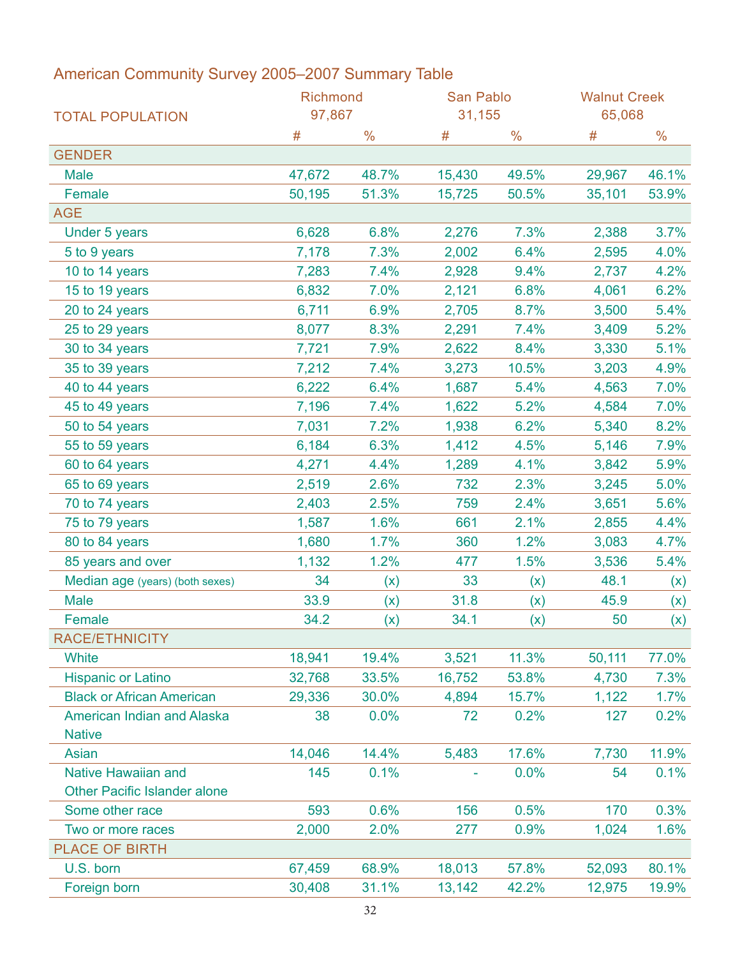|                                     | Richmond |               | San Pablo |               | <b>Walnut Creek</b> |               |  |  |
|-------------------------------------|----------|---------------|-----------|---------------|---------------------|---------------|--|--|
| <b>TOTAL POPULATION</b>             | 97,867   |               | 31,155    |               | 65,068              |               |  |  |
|                                     | #        | $\frac{0}{0}$ | #         | $\frac{0}{0}$ | #                   | $\frac{0}{0}$ |  |  |
| <b>GENDER</b>                       |          |               |           |               |                     |               |  |  |
| <b>Male</b>                         | 47,672   | 48.7%         | 15,430    | 49.5%         | 29,967              | 46.1%         |  |  |
| Female                              | 50,195   | 51.3%         | 15,725    | 50.5%         | 35,101              | 53.9%         |  |  |
| <b>AGE</b>                          |          |               |           |               |                     |               |  |  |
| <b>Under 5 years</b>                | 6,628    | 6.8%          | 2,276     | 7.3%          | 2,388               | 3.7%          |  |  |
| 5 to 9 years                        | 7,178    | 7.3%          | 2,002     | 6.4%          | 2,595               | 4.0%          |  |  |
| 10 to 14 years                      | 7,283    | 7.4%          | 2,928     | 9.4%          | 2,737               | 4.2%          |  |  |
| 15 to 19 years                      | 6,832    | 7.0%          | 2,121     | 6.8%          | 4,061               | 6.2%          |  |  |
| 20 to 24 years                      | 6,711    | 6.9%          | 2,705     | 8.7%          | 3,500               | 5.4%          |  |  |
| 25 to 29 years                      | 8,077    | 8.3%          | 2,291     | 7.4%          | 3,409               | 5.2%          |  |  |
| 30 to 34 years                      | 7,721    | 7.9%          | 2,622     | 8.4%          | 3,330               | 5.1%          |  |  |
| 35 to 39 years                      | 7,212    | 7.4%          | 3,273     | 10.5%         | 3,203               | 4.9%          |  |  |
| 40 to 44 years                      | 6,222    | 6.4%          | 1,687     | 5.4%          | 4,563               | 7.0%          |  |  |
| 45 to 49 years                      | 7,196    | 7.4%          | 1,622     | 5.2%          | 4,584               | 7.0%          |  |  |
| 50 to 54 years                      | 7,031    | 7.2%          | 1,938     | 6.2%          | 5,340               | 8.2%          |  |  |
| 55 to 59 years                      | 6,184    | 6.3%          | 1,412     | 4.5%          | 5,146               | 7.9%          |  |  |
| 60 to 64 years                      | 4,271    | 4.4%          | 1,289     | 4.1%          | 3,842               | 5.9%          |  |  |
| 65 to 69 years                      | 2,519    | 2.6%          | 732       | 2.3%          | 3,245               | 5.0%          |  |  |
| 70 to 74 years                      | 2,403    | 2.5%          | 759       | 2.4%          | 3,651               | 5.6%          |  |  |
| 75 to 79 years                      | 1,587    | 1.6%          | 661       | 2.1%          | 2,855               | 4.4%          |  |  |
| 80 to 84 years                      | 1,680    | 1.7%          | 360       | 1.2%          | 3,083               | 4.7%          |  |  |
| 85 years and over                   | 1,132    | 1.2%          | 477       | 1.5%          | 3,536               | 5.4%          |  |  |
| Median age (years) (both sexes)     | 34       | (x)           | 33        | (x)           | 48.1                | (x)           |  |  |
| <b>Male</b>                         | 33.9     | (x)           | 31.8      | (x)           | 45.9                | (x)           |  |  |
| Female                              | 34.2     | (x)           | 34.1      | (x)           | 50                  | (x)           |  |  |
| RACE/ETHNICITY                      |          |               |           |               |                     |               |  |  |
| <b>White</b>                        | 18,941   | 19.4%         | 3,521     | 11.3%         | 50,111              | 77.0%         |  |  |
| <b>Hispanic or Latino</b>           | 32,768   | 33.5%         | 16,752    | 53.8%         | 4,730               | 7.3%          |  |  |
| <b>Black or African American</b>    | 29,336   | 30.0%         | 4,894     | 15.7%         | 1,122               | 1.7%          |  |  |
| American Indian and Alaska          | 38       | 0.0%          | 72        | 0.2%          | 127                 | 0.2%          |  |  |
| <b>Native</b>                       |          |               |           |               |                     |               |  |  |
| Asian                               | 14,046   | 14.4%         | 5,483     | 17.6%         | 7,730               | 11.9%         |  |  |
| Native Hawaiian and                 | 145      | 0.1%          |           | 0.0%          | 54                  | 0.1%          |  |  |
| <b>Other Pacific Islander alone</b> |          |               |           |               |                     |               |  |  |
| Some other race                     | 593      | 0.6%          | 156       | 0.5%          | 170                 | 0.3%          |  |  |
| Two or more races                   | 2,000    | 2.0%          | 277       | 0.9%          | 1,024               | 1.6%          |  |  |
| <b>PLACE OF BIRTH</b>               |          |               |           |               |                     |               |  |  |
| U.S. born                           | 67,459   | 68.9%         | 18,013    | 57.8%         | 52,093              | 80.1%         |  |  |
| Foreign born                        | 30,408   | 31.1%         | 13,142    | 42.2%         | 12,975              | 19.9%         |  |  |